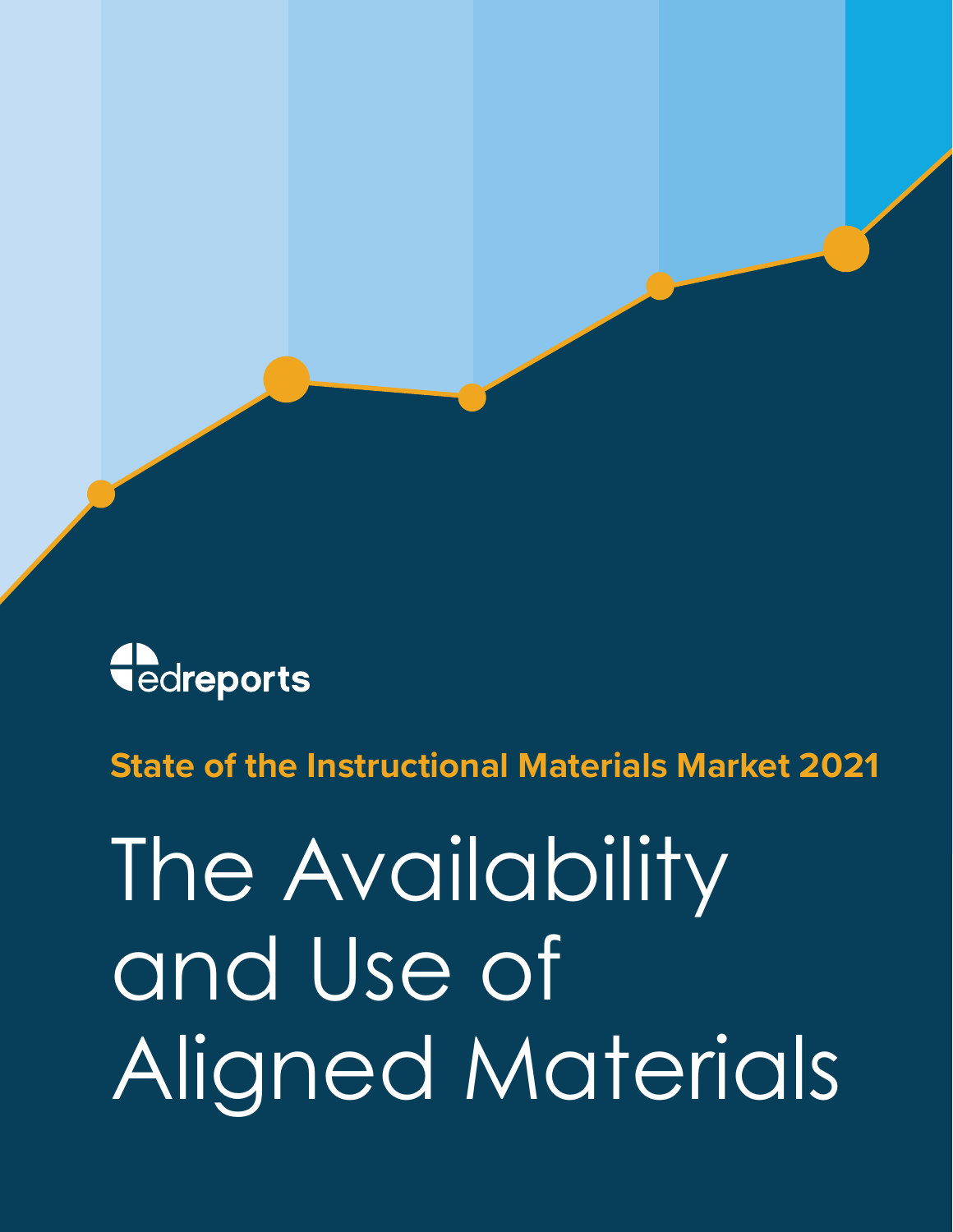

**State of the Instructional Materials Market 2021**

The Availability and Use of Aligned Materials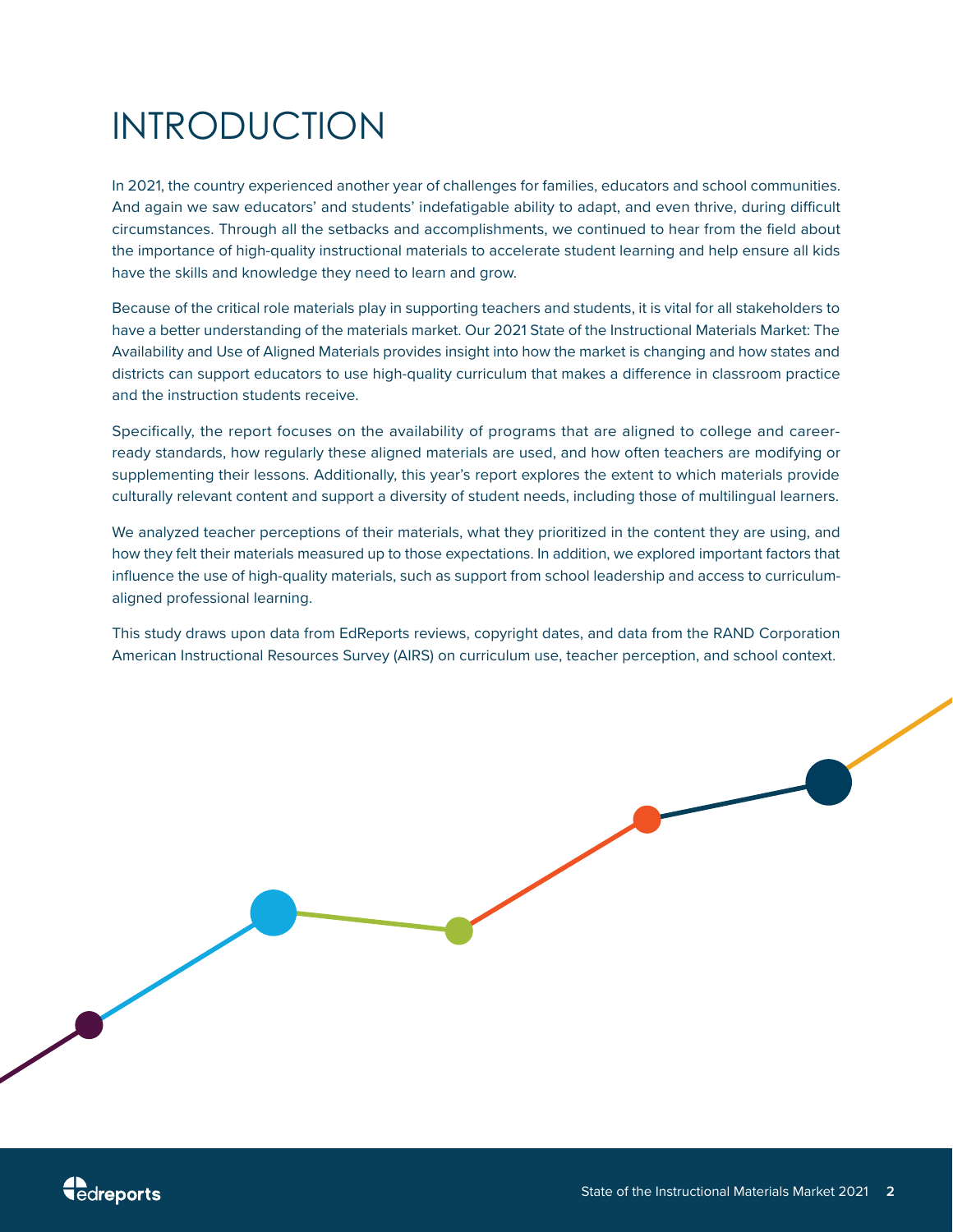## INTRODUCTION

In 2021, the country experienced another year of challenges for families, educators and school communities. And again we saw educators' and students' indefatigable ability to adapt, and even thrive, during difficult circumstances. Through all the setbacks and accomplishments, we continued to hear from the field about the importance of high-quality instructional materials to accelerate student learning and help ensure all kids have the skills and knowledge they need to learn and grow.

Because of the critical role materials play in supporting teachers and students, it is vital for all stakeholders to have a better understanding of the materials market. Our 2021 State of the Instructional Materials Market: The Availability and Use of Aligned Materials provides insight into how the market is changing and how states and districts can support educators to use high-quality curriculum that makes a difference in classroom practice and the instruction students receive.

Specifically, the report focuses on the availability of programs that are aligned to college and careerready standards, how regularly these aligned materials are used, and how often teachers are modifying or supplementing their lessons. Additionally, this year's report explores the extent to which materials provide culturally relevant content and support a diversity of student needs, including those of multilingual learners.

We analyzed teacher perceptions of their materials, what they prioritized in the content they are using, and how they felt their materials measured up to those expectations. In addition, we explored important factors that influence the use of high-quality materials, such as support from school leadership and access to curriculumaligned professional learning.

This study draws upon data from EdReports reviews, copyright dates, and data from the RAND Corporation American Instructional Resources Survey (AIRS) on curriculum use, teacher perception, and school context.

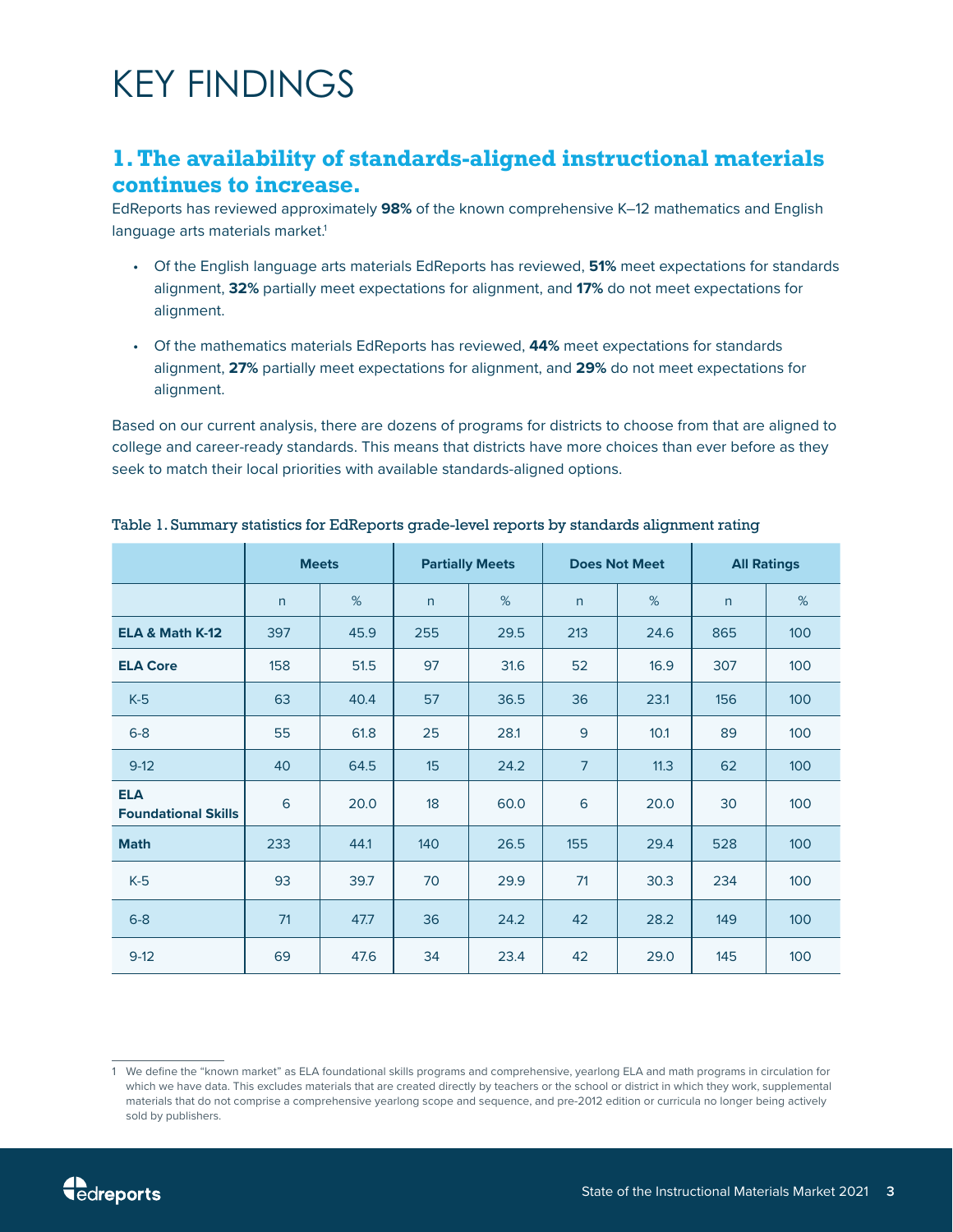## KEY FINDINGS

### **1. The availability of standards-aligned instructional materials continues to increase.**

EdReports has reviewed approximately **98%** of the known comprehensive K–12 mathematics and English language arts materials market.<sup>1</sup>

- Of the English language arts materials EdReports has reviewed, **51%** meet expectations for standards alignment, **32%** partially meet expectations for alignment, and **17%** do not meet expectations for alignment.
- Of the mathematics materials EdReports has reviewed, **44%** meet expectations for standards alignment, **27%** partially meet expectations for alignment, and **29%** do not meet expectations for alignment.

Based on our current analysis, there are dozens of programs for districts to choose from that are aligned to college and career-ready standards. This means that districts have more choices than ever before as they seek to match their local priorities with available standards-aligned options.

|                                          |     | <b>Meets</b> | <b>Partially Meets</b> |      | <b>Does Not Meet</b> |      | <b>All Ratings</b> |     |
|------------------------------------------|-----|--------------|------------------------|------|----------------------|------|--------------------|-----|
|                                          | n   | %            | n                      | %    | n                    | %    | n                  | %   |
| ELA & Math K-12                          | 397 | 45.9         | 255                    | 29.5 | 213                  | 24.6 | 865                | 100 |
| <b>ELA Core</b>                          | 158 | 51.5         | 97                     | 31.6 | 52                   | 16.9 | 307                | 100 |
| $K-5$                                    | 63  | 40.4         | 57                     | 36.5 | 36                   | 23.1 | 156                | 100 |
| $6 - 8$                                  | 55  | 61.8         | 25                     | 28.1 | 9                    | 10.1 | 89                 | 100 |
| $9-12$                                   | 40  | 64.5         | 15                     | 24.2 | $\overline{7}$       | 11.3 | 62                 | 100 |
| <b>ELA</b><br><b>Foundational Skills</b> | 6   | 20.0         | 18                     | 60.0 | 6                    | 20.0 | 30                 | 100 |
| <b>Math</b>                              | 233 | 44.1         | 140                    | 26.5 | 155                  | 29.4 | 528                | 100 |
| $K-5$                                    | 93  | 39.7         | 70                     | 29.9 | 71                   | 30.3 | 234                | 100 |
| $6 - 8$                                  | 71  | 47.7         | 36                     | 24.2 | 42                   | 28.2 | 149                | 100 |
| $9-12$                                   | 69  | 47.6         | 34                     | 23.4 | 42                   | 29.0 | 145                | 100 |

Table 1. Summary statistics for EdReports grade-level reports by standards alignment rating

<sup>1</sup> We define the "known market" as ELA foundational skills programs and comprehensive, yearlong ELA and math programs in circulation for which we have data. This excludes materials that are created directly by teachers or the school or district in which they work, supplemental materials that do not comprise a comprehensive yearlong scope and sequence, and pre-2012 edition or curricula no longer being actively sold by publishers.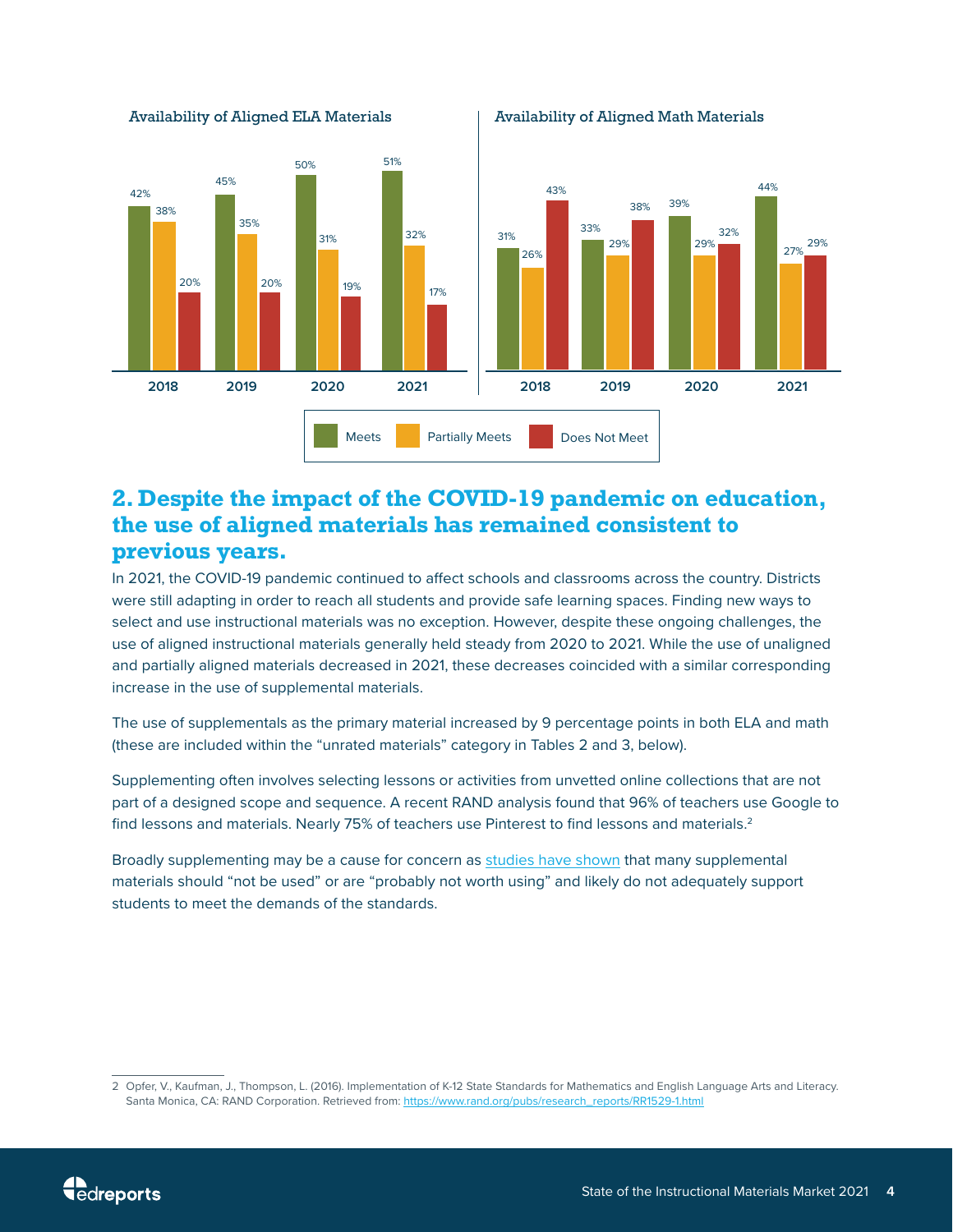

## **2. Despite the impact of the COVID-19 pandemic on education, the use of aligned materials has remained consistent to previous years.**

In 2021, the COVID-19 pandemic continued to affect schools and classrooms across the country. Districts were still adapting in order to reach all students and provide safe learning spaces. Finding new ways to select and use instructional materials was no exception. However, despite these ongoing challenges, the use of aligned instructional materials generally held steady from 2020 to 2021. While the use of unaligned and partially aligned materials decreased in 2021, these decreases coincided with a similar corresponding increase in the use of supplemental materials.

The use of supplementals as the primary material increased by 9 percentage points in both ELA and math (these are included within the "unrated materials" category in Tables 2 and 3, below).

Supplementing often involves selecting lessons or activities from unvetted online collections that are not part of a designed scope and sequence. A recent RAND analysis found that 96% of teachers use Google to find lessons and materials. Nearly 75% of teachers use Pinterest to find lessons and materials.<sup>2</sup>

Broadly supplementing may be a cause for concern as [studies have shown](https://fordhaminstitute.org/national/research/supplemental-curriculum-bazaar) that many supplemental materials should "not be used" or are "probably not worth using" and likely do not adequately support students to meet the demands of the standards.

<sup>2</sup> Opfer, V., Kaufman, J., Thompson, L. (2016). Implementation of K-12 State Standards for Mathematics and English Language Arts and Literacy. Santa Monica, CA: RAND Corporation. Retrieved from: [https://www.rand.org/pubs/research\\_reports/RR1529-1.html](https://www.rand.org/pubs/research_reports/RR1529-1.html)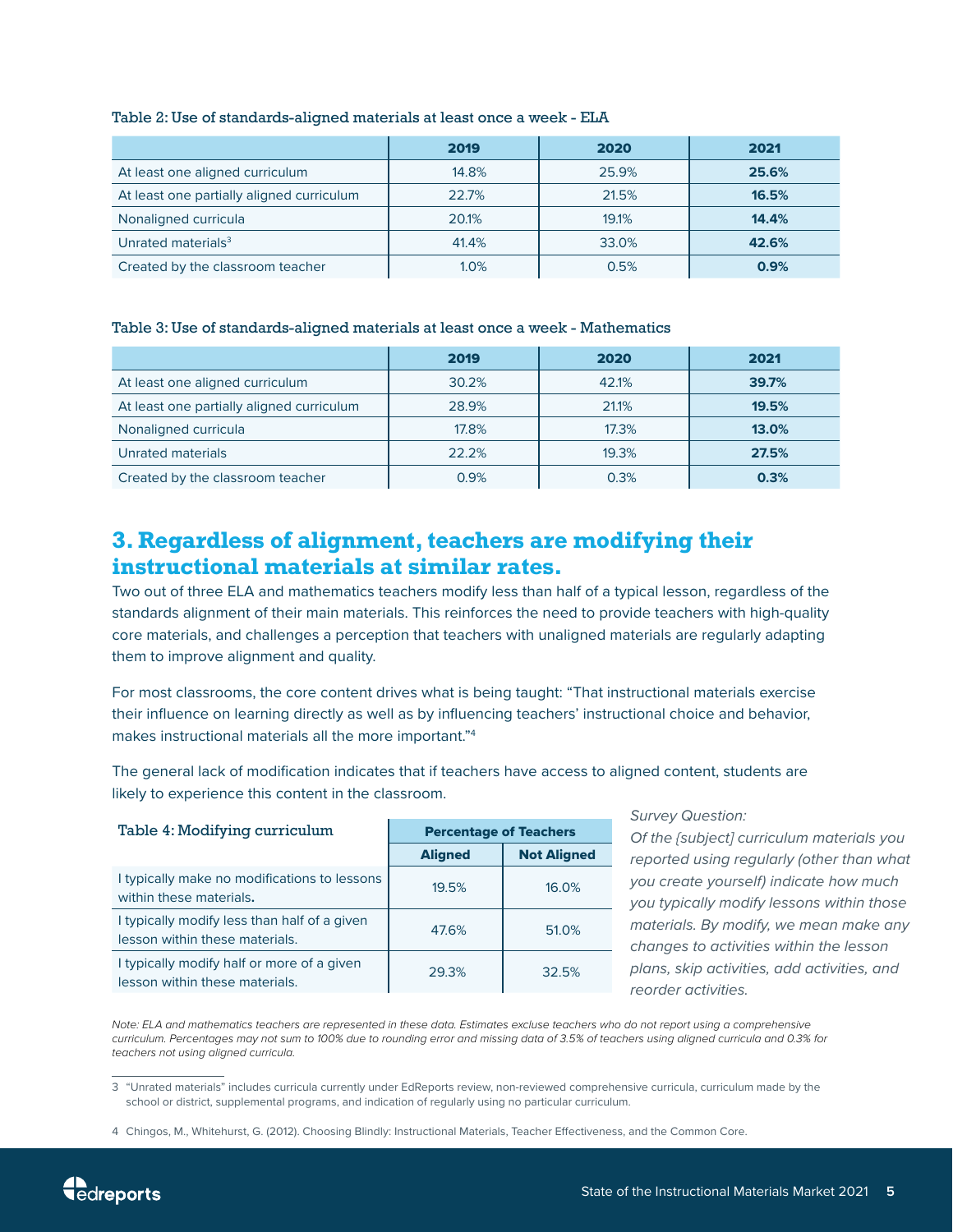|                                           | 2019  | 2020  | 2021  |
|-------------------------------------------|-------|-------|-------|
| At least one aligned curriculum           | 14.8% | 25.9% | 25.6% |
| At least one partially aligned curriculum | 22.7% | 21.5% | 16.5% |
| Nonaligned curricula                      | 20.1% | 19.1% | 14.4% |
| Unrated materials <sup>3</sup>            | 41.4% | 33.0% | 42.6% |
| Created by the classroom teacher          | 1.0%  | 0.5%  | 0.9%  |

#### Table 2: Use of standards-aligned materials at least once a week - ELA

#### Table 3: Use of standards-aligned materials at least once a week - Mathematics

|                                           | 2019  | 2020  | 2021  |
|-------------------------------------------|-------|-------|-------|
| At least one aligned curriculum           | 30.2% | 42.1% | 39.7% |
| At least one partially aligned curriculum | 28.9% | 21.1% | 19.5% |
| Nonaligned curricula                      | 17.8% | 17.3% | 13.0% |
| Unrated materials                         | 22.2% | 19.3% | 27.5% |
| Created by the classroom teacher          | 0.9%  | 0.3%  | 0.3%  |

### **3. Regardless of alignment, teachers are modifying their instructional materials at similar rates.**

Two out of three ELA and mathematics teachers modify less than half of a typical lesson, regardless of the standards alignment of their main materials. This reinforces the need to provide teachers with high-quality core materials, and challenges a perception that teachers with unaligned materials are regularly adapting them to improve alignment and quality.

For most classrooms, the core content drives what is being taught: "That instructional materials exercise their influence on learning directly as well as by influencing teachers' instructional choice and behavior, makes instructional materials all the more important."4

The general lack of modification indicates that if teachers have access to aligned content, students are likely to experience this content in the classroom.

| Table 4: Modifying curriculum                                                  | <b>Percentage of Teachers</b> |                    |  |
|--------------------------------------------------------------------------------|-------------------------------|--------------------|--|
|                                                                                | <b>Aligned</b>                | <b>Not Aligned</b> |  |
| I typically make no modifications to lessons<br>within these materials.        | 19.5%                         | 16.0%              |  |
| I typically modify less than half of a given<br>lesson within these materials. | 47.6%                         | 51.0%              |  |
| I typically modify half or more of a given<br>lesson within these materials.   | 29.3%                         | 32.5%              |  |

#### *Survey Question:*

*Of the {subject] curriculum materials you reported using regularly (other than what you create yourself) indicate how much you typically modify lessons within those materials. By modify, we mean make any changes to activities within the lesson plans, skip activities, add activities, and reorder activities.* 

*Note: ELA and mathematics teachers are represented in these data. Estimates excluse teachers who do not report using a comprehensive curriculum. Percentages may not sum to 100% due to rounding error and missing data of 3.5% of teachers using aligned curricula and 0.3% for teachers not using aligned curricula.*

3 "Unrated materials" includes curricula currently under EdReports review, non-reviewed comprehensive curricula, curriculum made by the school or district, supplemental programs, and indication of regularly using no particular curriculum.

4 Chingos, M., Whitehurst, G. (2012). Choosing Blindly: Instructional Materials, Teacher Effectiveness, and the Common Core.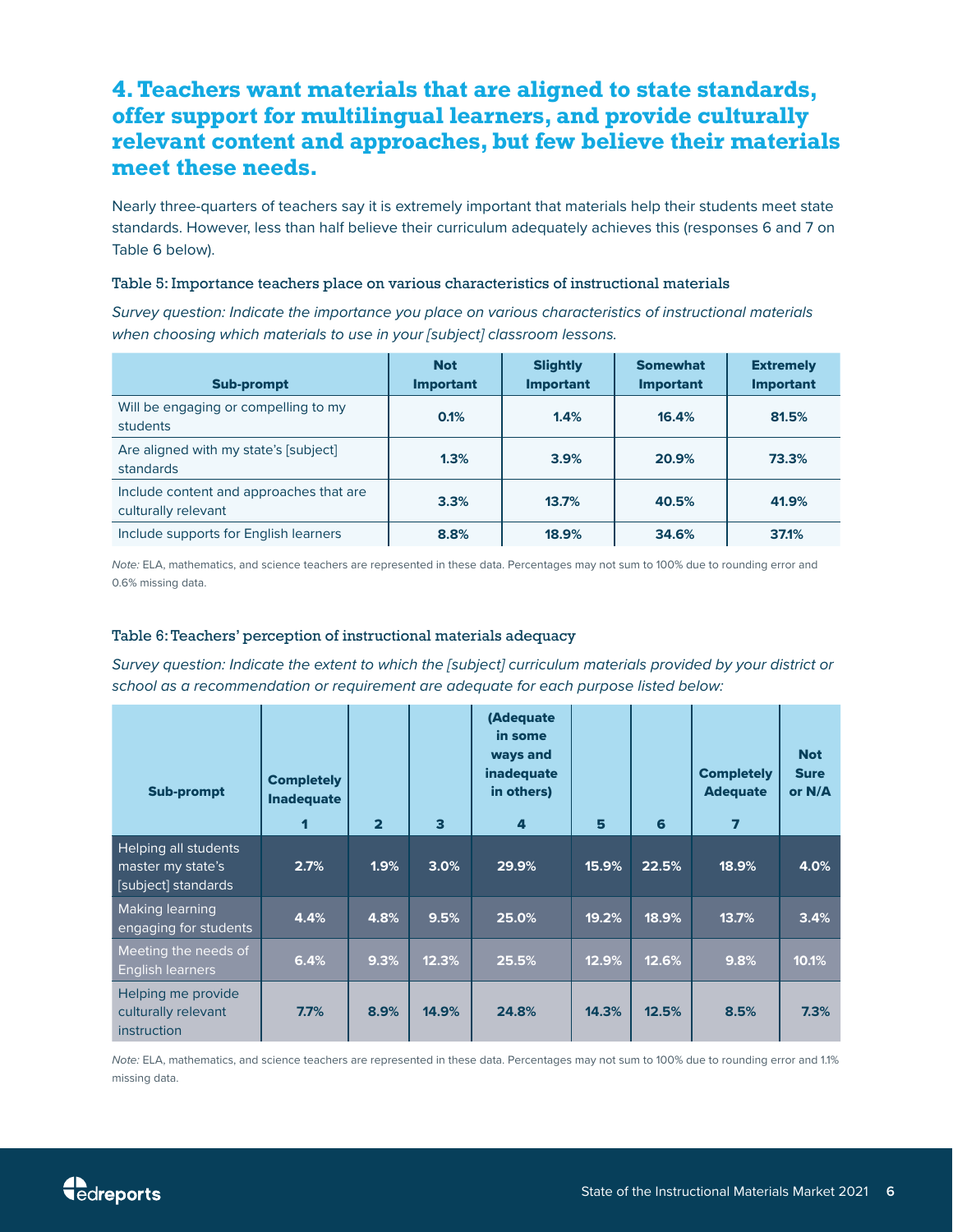## **4. Teachers want materials that are aligned to state standards, offer support for multilingual learners, and provide culturally relevant content and approaches, but few believe their materials meet these needs.**

Nearly three-quarters of teachers say it is extremely important that materials help their students meet state standards. However, less than half believe their curriculum adequately achieves this (responses 6 and 7 on Table 6 below).

#### Table 5: Importance teachers place on various characteristics of instructional materials

*Survey question: Indicate the importance you place on various characteristics of instructional materials when choosing which materials to use in your [subject] classroom lessons.*

| Sub-prompt                                                     | <b>Not</b><br><b>Important</b> | <b>Slightly</b><br><b>Important</b> | <b>Somewhat</b><br><b>Important</b> | <b>Extremely</b><br><b>Important</b> |
|----------------------------------------------------------------|--------------------------------|-------------------------------------|-------------------------------------|--------------------------------------|
| Will be engaging or compelling to my<br>students               | 0.1%                           | 1.4%                                | 16.4%                               | 81.5%                                |
| Are aligned with my state's [subject]<br>standards             | 1.3%                           | 3.9%                                | 20.9%                               | 73.3%                                |
| Include content and approaches that are<br>culturally relevant | 3.3%                           | 13.7%                               | 40.5%                               | 41.9%                                |
| Include supports for English learners                          | 8.8%                           | 18.9%                               | 34.6%                               | 37.1%                                |

*Note:* ELA, mathematics, and science teachers are represented in these data. Percentages may not sum to 100% due to rounding error and 0.6% missing data.

#### Table 6: Teachers' perception of instructional materials adequacy

*Survey question: Indicate the extent to which the [subject] curriculum materials provided by your district or school as a recommendation or requirement are adequate for each purpose listed below:*

| <b>Sub-prompt</b>                                                | <b>Completely</b><br><b>Inadequate</b><br>$\blacktriangleleft$ | $\overline{2}$ | $\mathbf{3}$ | (Adequate<br>in some<br>ways and<br><b>inadequate</b><br>in others)<br>4 | 5     | 6     | <b>Completely</b><br><b>Adequate</b><br>7 | <b>Not</b><br><b>Sure</b><br>or N/A |
|------------------------------------------------------------------|----------------------------------------------------------------|----------------|--------------|--------------------------------------------------------------------------|-------|-------|-------------------------------------------|-------------------------------------|
| Helping all students<br>master my state's<br>[subject] standards | 2.7%                                                           | $1.9\%$        | 3.0%         | 29.9%                                                                    | 15.9% | 22.5% | 18.9%                                     | 4.0%                                |
| Making learning<br>engaging for students                         | 4.4%                                                           | 4.8%           | 9.5%         | 25.0%                                                                    | 19.2% | 18.9% | 13.7%                                     | 3.4%                                |
| Meeting the needs of<br><b>English learners</b>                  | 6.4%                                                           | 9.3%           | 12.3%        | 25.5%                                                                    | 12.9% | 12.6% | 9.8%                                      | 10.1%                               |
| Helping me provide<br>culturally relevant<br>instruction         | 7.7%                                                           | 8.9%           | 14.9%        | 24.8%                                                                    | 14.3% | 12.5% | 8.5%                                      | 7.3%                                |

*Note:* ELA, mathematics, and science teachers are represented in these data. Percentages may not sum to 100% due to rounding error and 1.1% missing data.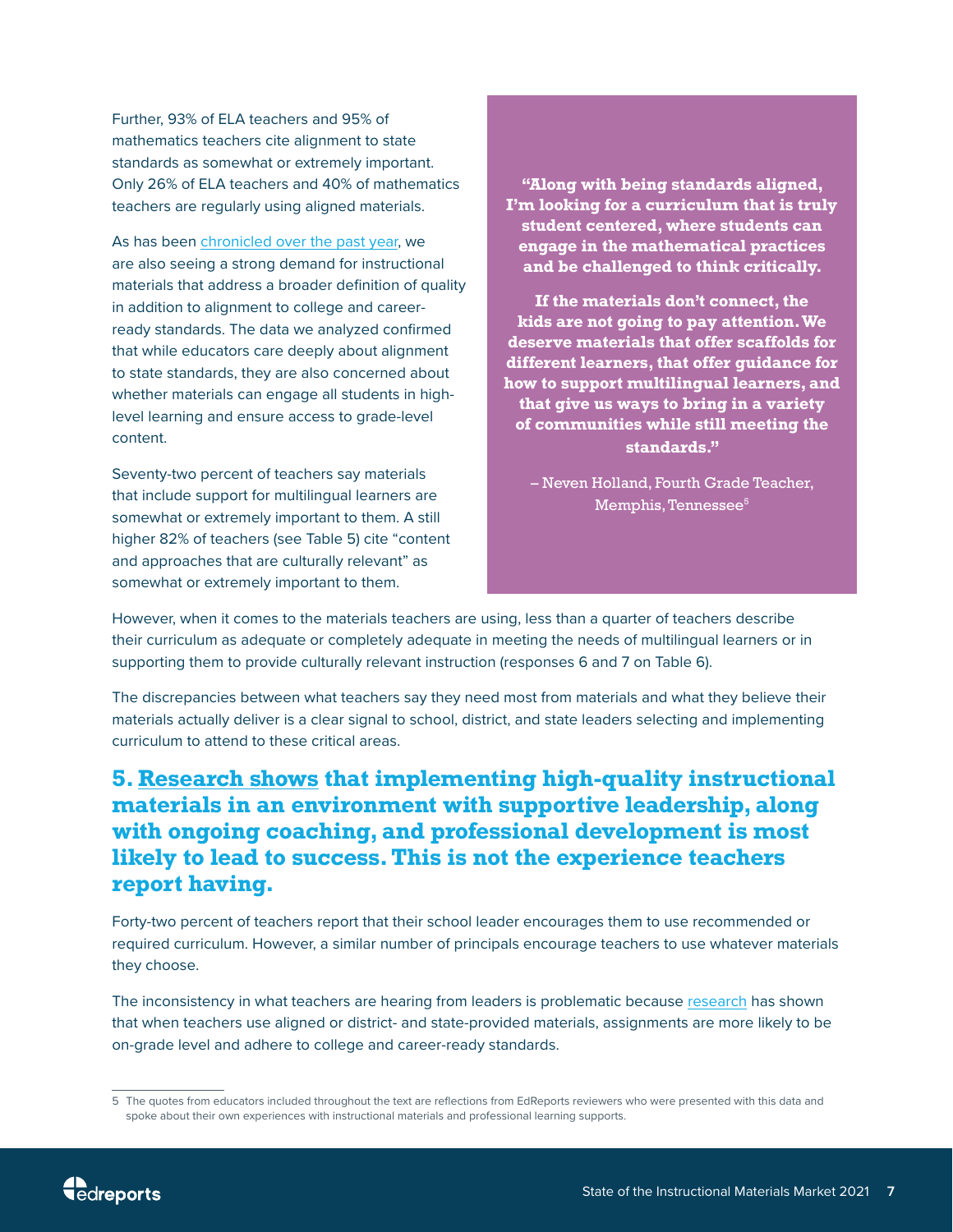Further, 93% of ELA teachers and 95% of mathematics teachers cite alignment to state standards as somewhat or extremely important. Only 26% of ELA teachers and 40% of mathematics teachers are regularly using aligned materials.

As has been [chronicled over the past year,](https://cprl.law.columbia.edu/sites/default/files/content/Publications/CPRL_2021_Fundamental%204_Final.pdf) we are also seeing a strong demand for instructional materials that address a broader definition of quality in addition to alignment to college and careerready standards. The data we analyzed confirmed that while educators care deeply about alignment to state standards, they are also concerned about whether materials can engage all students in highlevel learning and ensure access to grade-level content.

Seventy-two percent of teachers say materials that include support for multilingual learners are somewhat or extremely important to them. A still higher 82% of teachers (see Table 5) cite "content and approaches that are culturally relevant" as somewhat or extremely important to them.

**"Along with being standards aligned, I'm looking for a curriculum that is truly student centered, where students can engage in the mathematical practices and be challenged to think critically.** 

**If the materials don't connect, the kids are not going to pay attention. We deserve materials that offer scaffolds for different learners, that offer guidance for how to support multilingual learners, and that give us ways to bring in a variety of communities while still meeting the standards."**

– Neven Holland, Fourth Grade Teacher, Memphis, Tennessee<sup>5</sup>

However, when it comes to the materials teachers are using, less than a quarter of teachers describe their curriculum as adequate or completely adequate in meeting the needs of multilingual learners or in supporting them to provide culturally relevant instruction (responses 6 and 7 on Table 6).

The discrepancies between what teachers say they need most from materials and what they believe their materials actually deliver is a clear signal to school, district, and state leaders selecting and implementing curriculum to attend to these critical areas.

## **5. [Research shows](https://www.rand.org/pubs/research_reports/RRA134-9.html) that implementing high-quality instructional materials in an environment with supportive leadership, along with ongoing coaching, and professional development is most likely to lead to success. This is not the experience teachers report having.**

Forty-two percent of teachers report that their school leader encourages them to use recommended or required curriculum. However, a similar number of principals encourage teachers to use whatever materials they choose.

The inconsistency in what teachers are hearing from leaders is problematic because [research](https://opportunitymyth.tntp.org/) has shown that when teachers use aligned or district- and state-provided materials, assignments are more likely to be on-grade level and adhere to college and career-ready standards.

<sup>5</sup> The quotes from educators included throughout the text are reflections from EdReports reviewers who were presented with this data and spoke about their own experiences with instructional materials and professional learning supports.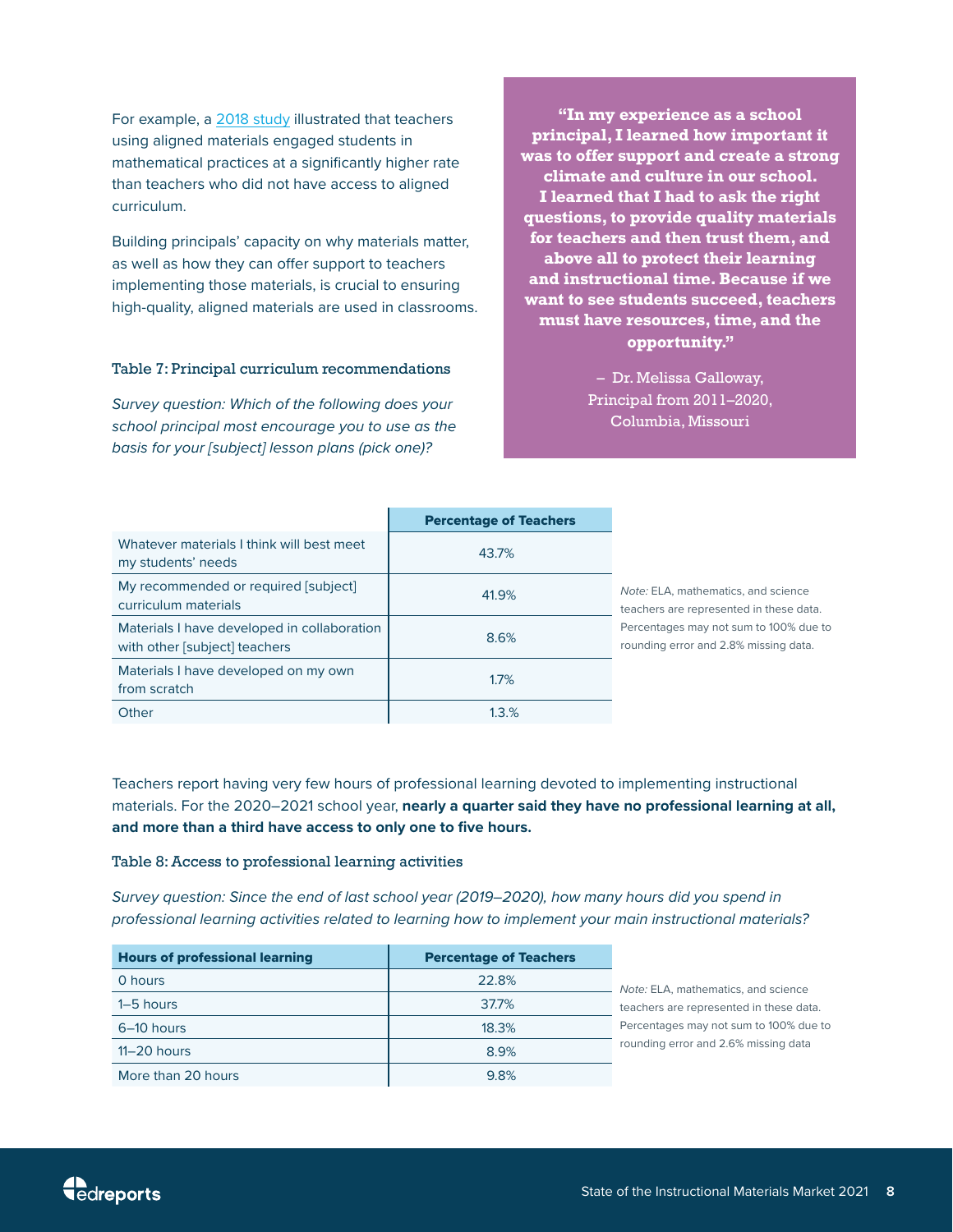For example, a [2018 study](https://opportunitymyth.tntp.org/) illustrated that teachers using aligned materials engaged students in mathematical practices at a significantly higher rate than teachers who did not have access to aligned curriculum.

Building principals' capacity on why materials matter, as well as how they can offer support to teachers implementing those materials, is crucial to ensuring high-quality, aligned materials are used in classrooms.

#### Table 7: Principal curriculum recommendations

*Survey question: Which of the following does your school principal most encourage you to use as the basis for your [subject] lesson plans (pick one)?*

**"In my experience as a school principal, I learned how important it was to offer support and create a strong climate and culture in our school. I learned that I had to ask the right questions, to provide quality materials for teachers and then trust them, and above all to protect their learning and instructional time. Because if we want to see students succeed, teachers must have resources, time, and the opportunity."** 

> – Dr. Melissa Galloway, Principal from 2011–2020, Columbia, Missouri

|                                                                              | <b>Percentage of Teachers</b> |                          |
|------------------------------------------------------------------------------|-------------------------------|--------------------------|
| Whatever materials I think will best meet<br>my students' needs              | 43.7%                         |                          |
| My recommended or required [subject]<br>curriculum materials                 | 41.9%                         | Note: ELA,<br>teachers a |
| Materials I have developed in collaboration<br>with other [subject] teachers | 8.6%                          | Percentag<br>rounding e  |
| Materials I have developed on my own<br>from scratch                         | $1.7\%$                       |                          |
| Other                                                                        | 1.3.%                         |                          |

mathematics, and science are represented in these data. es may not sum to 100% due to error and 2.8% missing data.

Teachers report having very few hours of professional learning devoted to implementing instructional materials. For the 2020–2021 school year, **nearly a quarter said they have no professional learning at all, and more than a third have access to only one to five hours.** 

#### Table 8: Access to professional learning activities

*Survey question: Since the end of last school year (2019–2020), how many hours did you spend in professional learning activities related to learning how to implement your main instructional materials?*

| <b>Hours of professional learning</b> | <b>Percentage of Teachers</b> |              |
|---------------------------------------|-------------------------------|--------------|
| 0 hours                               | 22.8%                         | $\mathcal N$ |
| $1 - 5$ hours                         | 37.7%                         | te           |
| 6-10 hours                            | 18.3%                         | $P_6$        |
| $11 - 20$ hours                       | 8.9%                          | ro           |
| More than 20 hours                    | 9.8%                          |              |

*Note:* ELA, mathematics, and science eachers are represented in these data. ercentages may not sum to 100% due to ounding error and 2.6% missing data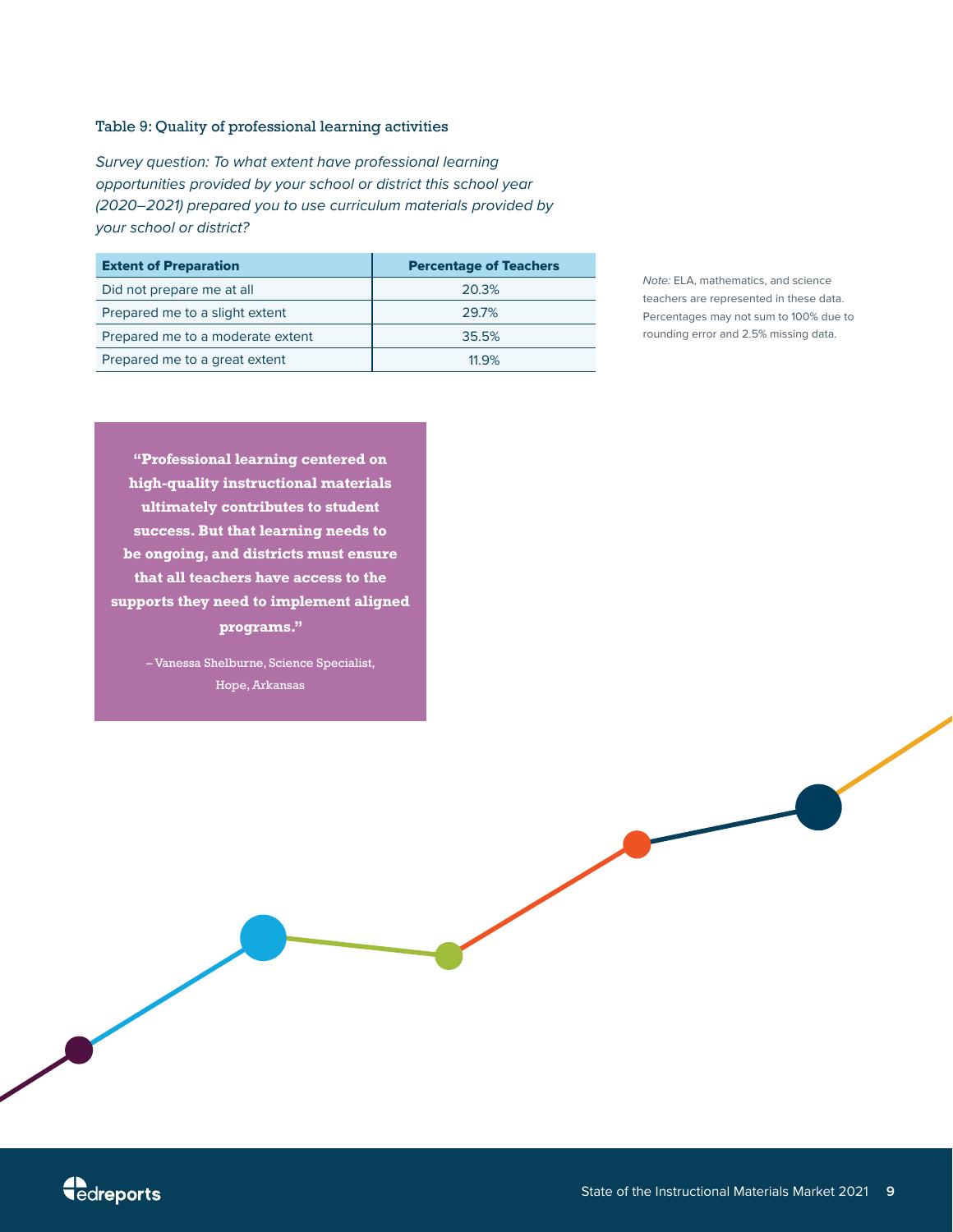#### Table 9: Quality of professional learning activities

*Survey question: To what extent have professional learning opportunities provided by your school or district this school year (2020–2021) prepared you to use curriculum materials provided by your school or district?* 

| <b>Extent of Preparation</b>     | <b>Percentage of Teachers</b> |
|----------------------------------|-------------------------------|
| Did not prepare me at all        | 20.3%                         |
| Prepared me to a slight extent   | 29.7%                         |
| Prepared me to a moderate extent | 35.5%                         |
| Prepared me to a great extent    | 119%                          |

*Note:* ELA, mathematics, and science teachers are represented in these data. Percentages may not sum to 100% due to rounding error and 2.5% missing data.

**"Professional learning centered on high-quality instructional materials ultimately contributes to student success. But that learning needs to be ongoing, and districts must ensure that all teachers have access to the supports they need to implement aligned programs."** 

> – Vanessa Shelburne, Science Specialist, Hope, Arkansas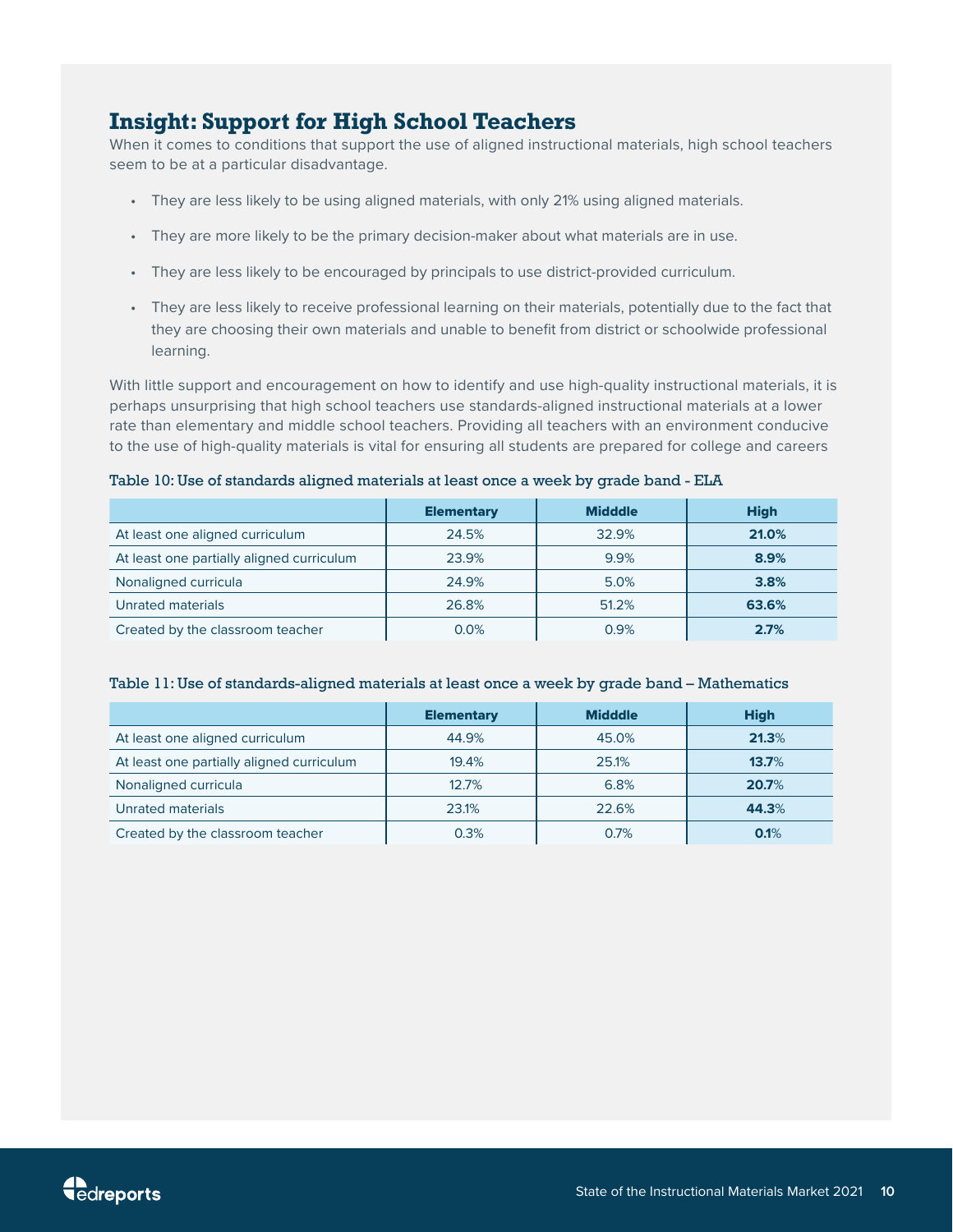### **Insight: Support for High School Teachers**

When it comes to conditions that support the use of aligned instructional materials, high school teachers seem to be at a particular disadvantage.

- They are less likely to be using aligned materials, with only 21% using aligned materials.
- They are more likely to be the primary decision-maker about what materials are in use.
- They are less likely to be encouraged by principals to use district-provided curriculum.
- They are less likely to receive professional learning on their materials, potentially due to the fact that they are choosing their own materials and unable to benefit from district or schoolwide professional learning.

With little support and encouragement on how to identify and use high-quality instructional materials, it is perhaps unsurprising that high school teachers use standards-aligned instructional materials at a lower rate than elementary and middle school teachers. Providing all teachers with an environment conducive to the use of high-quality materials is vital for ensuring all students are prepared for college and careers

#### Table 10: Use of standards aligned materials at least once a week by grade band - ELA

|                                           | <b>Elementary</b> | <b>Midddle</b> | <b>High</b> |
|-------------------------------------------|-------------------|----------------|-------------|
| At least one aligned curriculum           | 24.5%             | 32.9%          | 21.0%       |
| At least one partially aligned curriculum | 23.9%             | 9.9%           | 8.9%        |
| Nonaligned curricula                      | 24.9%             | 5.0%           | 3.8%        |
| Unrated materials                         | 26.8%             | 51.2%          | 63.6%       |
| Created by the classroom teacher          | 0.0%              | 0.9%           | 2.7%        |

#### Table 11: Use of standards-aligned materials at least once a week by grade band – Mathematics

|                                           | <b>Elementary</b> | <b>Midddle</b> | <b>High</b> |
|-------------------------------------------|-------------------|----------------|-------------|
| At least one aligned curriculum           | 44.9%             | 45.0%          | 21.3%       |
| At least one partially aligned curriculum | 19.4%             | 25.1%          | 13.7%       |
| Nonaligned curricula                      | 12.7%             | 6.8%           | 20.7%       |
| Unrated materials                         | 23.1%             | 22.6%          | 44.3%       |
| Created by the classroom teacher          | 0.3%              | 0.7%           | 0.1%        |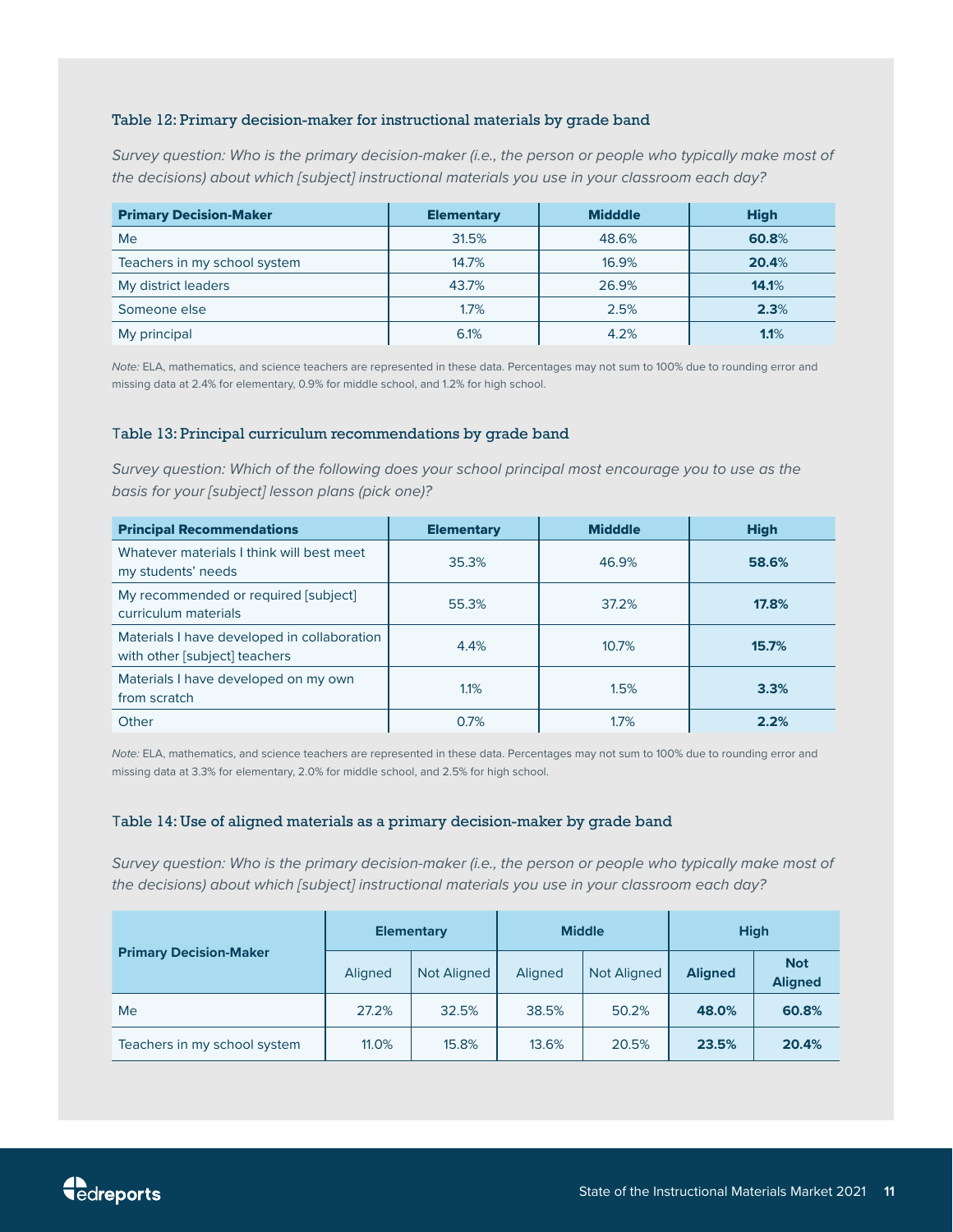#### Table 12: Primary decision-maker for instructional materials by grade band

*Survey question: Who is the primary decision-maker (i.e., the person or people who typically make most of the decisions) about which [subject] instructional materials you use in your classroom each day?*

| <b>Primary Decision-Maker</b> | <b>Elementary</b> | <b>Midddle</b> | <b>High</b> |
|-------------------------------|-------------------|----------------|-------------|
| Me                            | 31.5%             | 48.6%          | 60.8%       |
| Teachers in my school system  | 14.7%             | 16.9%          | 20.4%       |
| My district leaders           | 43.7%             | 26.9%          | 14.1%       |
| Someone else                  | 1.7%              | 2.5%           | 2.3%        |
| My principal                  | 6.1%              | 4.2%           | 1.1%        |

*Note:* ELA, mathematics, and science teachers are represented in these data. Percentages may not sum to 100% due to rounding error and missing data at 2.4% for elementary, 0.9% for middle school, and 1.2% for high school.

#### Table 13: Principal curriculum recommendations by grade band

*Survey question: Which of the following does your school principal most encourage you to use as the basis for your [subject] lesson plans (pick one)?*

| <b>Principal Recommendations</b>                                             | <b>Elementary</b> | <b>Midddle</b> | <b>High</b> |
|------------------------------------------------------------------------------|-------------------|----------------|-------------|
| Whatever materials I think will best meet<br>my students' needs              | 35.3%             | 46.9%          | 58.6%       |
| My recommended or required [subject]<br>curriculum materials                 | 55.3%             | 37.2%          | 17.8%       |
| Materials I have developed in collaboration<br>with other [subject] teachers | 4.4%              | 10.7%          | 15.7%       |
| Materials I have developed on my own<br>from scratch                         | 1.1%              | 1.5%           | 3.3%        |
| Other                                                                        | 0.7%              | 1.7%           | 2.2%        |

*Note:* ELA, mathematics, and science teachers are represented in these data. Percentages may not sum to 100% due to rounding error and missing data at 3.3% for elementary, 2.0% for middle school, and 2.5% for high school.

#### Table 14: Use of aligned materials as a primary decision-maker by grade band

*Survey question: Who is the primary decision-maker (i.e., the person or people who typically make most of the decisions) about which [subject] instructional materials you use in your classroom each day?*

|                               | <b>Elementary</b> |                    | <b>Middle</b> |                    | <b>High</b>    |                              |
|-------------------------------|-------------------|--------------------|---------------|--------------------|----------------|------------------------------|
| <b>Primary Decision-Maker</b> | Aligned           | <b>Not Aligned</b> | Aligned       | <b>Not Aligned</b> | <b>Aligned</b> | <b>Not</b><br><b>Aligned</b> |
| Me                            | 27.2%             | 32.5%              | 38.5%         | 50.2%              | 48.0%          | 60.8%                        |
| Teachers in my school system  | 11.0%             | 15.8%              | 13.6%         | 20.5%              | 23.5%          | 20.4%                        |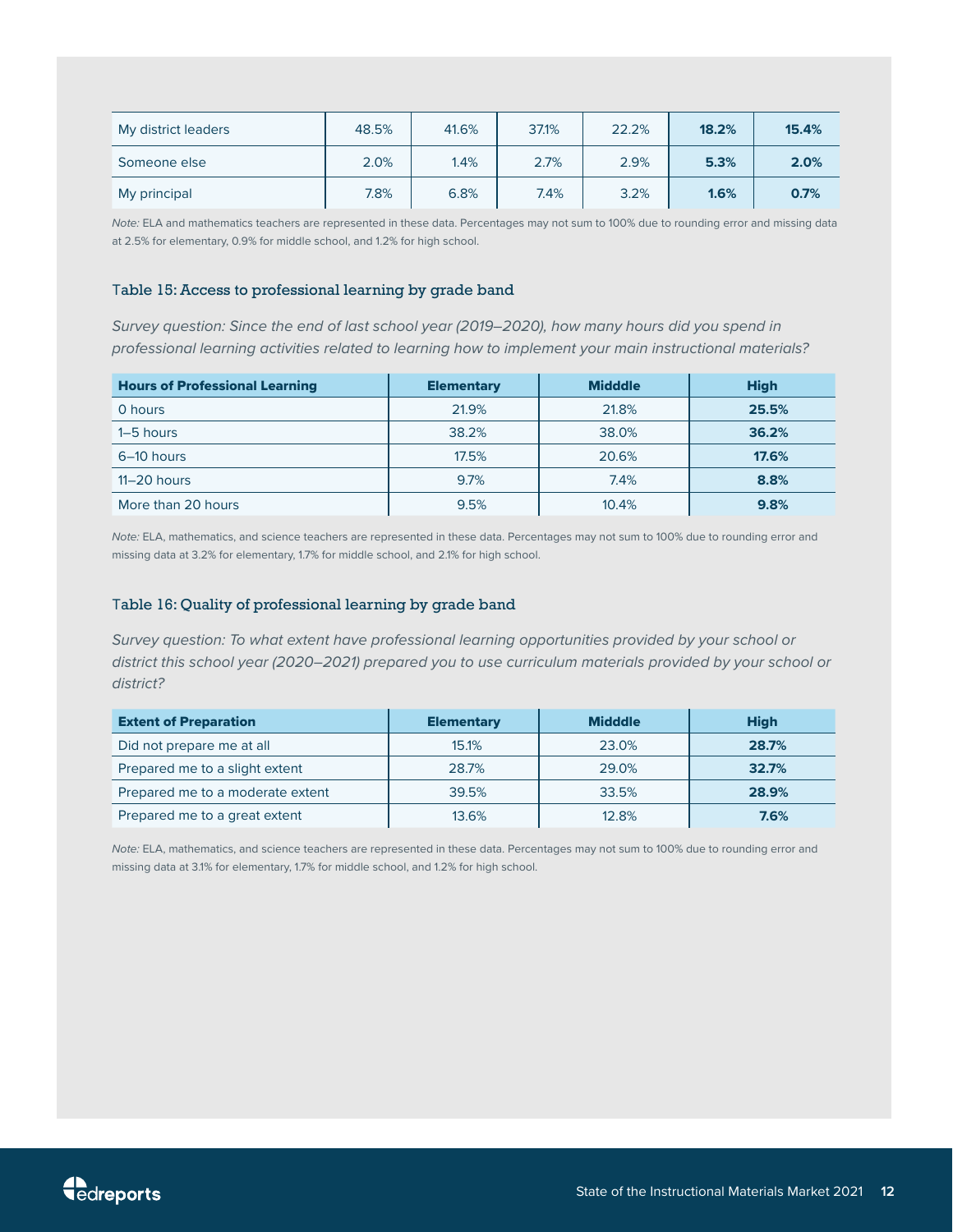| My district leaders | 48.5% | 41.6% | 37.1% | 22.2% | 18.2% | 15.4% |
|---------------------|-------|-------|-------|-------|-------|-------|
| Someone else        | 2.0%  | 1.4%  | 2.7%  | 2.9%  | 5.3%  | 2.0%  |
| My principal        | 7.8%  | 6.8%  | 7.4%  | 3.2%  | 1.6%  | 0.7%  |

*Note:* ELA and mathematics teachers are represented in these data. Percentages may not sum to 100% due to rounding error and missing data at 2.5% for elementary, 0.9% for middle school, and 1.2% for high school.

#### Table 15: Access to professional learning by grade band

*Survey question: Since the end of last school year (2019–2020), how many hours did you spend in professional learning activities related to learning how to implement your main instructional materials?*

| <b>Hours of Professional Learning</b> | <b>Elementary</b> | <b>Midddle</b> | <b>High</b> |
|---------------------------------------|-------------------|----------------|-------------|
| 0 hours                               | 21.9%             | 21.8%          | 25.5%       |
| $1 - 5$ hours                         | 38.2%             | 38.0%          | 36.2%       |
| 6-10 hours                            | 17.5%             | 20.6%          | 17.6%       |
| $11 - 20$ hours                       | 9.7%              | 7.4%           | 8.8%        |
| More than 20 hours                    | 9.5%              | 10.4%          | 9.8%        |

*Note:* ELA, mathematics, and science teachers are represented in these data. Percentages may not sum to 100% due to rounding error and missing data at 3.2% for elementary, 1.7% for middle school, and 2.1% for high school.

#### Table 16: Quality of professional learning by grade band

*Survey question: To what extent have professional learning opportunities provided by your school or district this school year (2020–2021) prepared you to use curriculum materials provided by your school or district?*

| <b>Extent of Preparation</b>     | <b>Elementary</b> | <b>Midddle</b> | <b>High</b> |
|----------------------------------|-------------------|----------------|-------------|
| Did not prepare me at all        | 15.1%             | 23.0%          | 28.7%       |
| Prepared me to a slight extent   | 28.7%             | 29.0%          | 32.7%       |
| Prepared me to a moderate extent | 39.5%             | 33.5%          | 28.9%       |
| Prepared me to a great extent    | 13.6%             | 12.8%          | 7.6%        |

*Note:* ELA, mathematics, and science teachers are represented in these data. Percentages may not sum to 100% due to rounding error and missing data at 3.1% for elementary, 1.7% for middle school, and 1.2% for high school.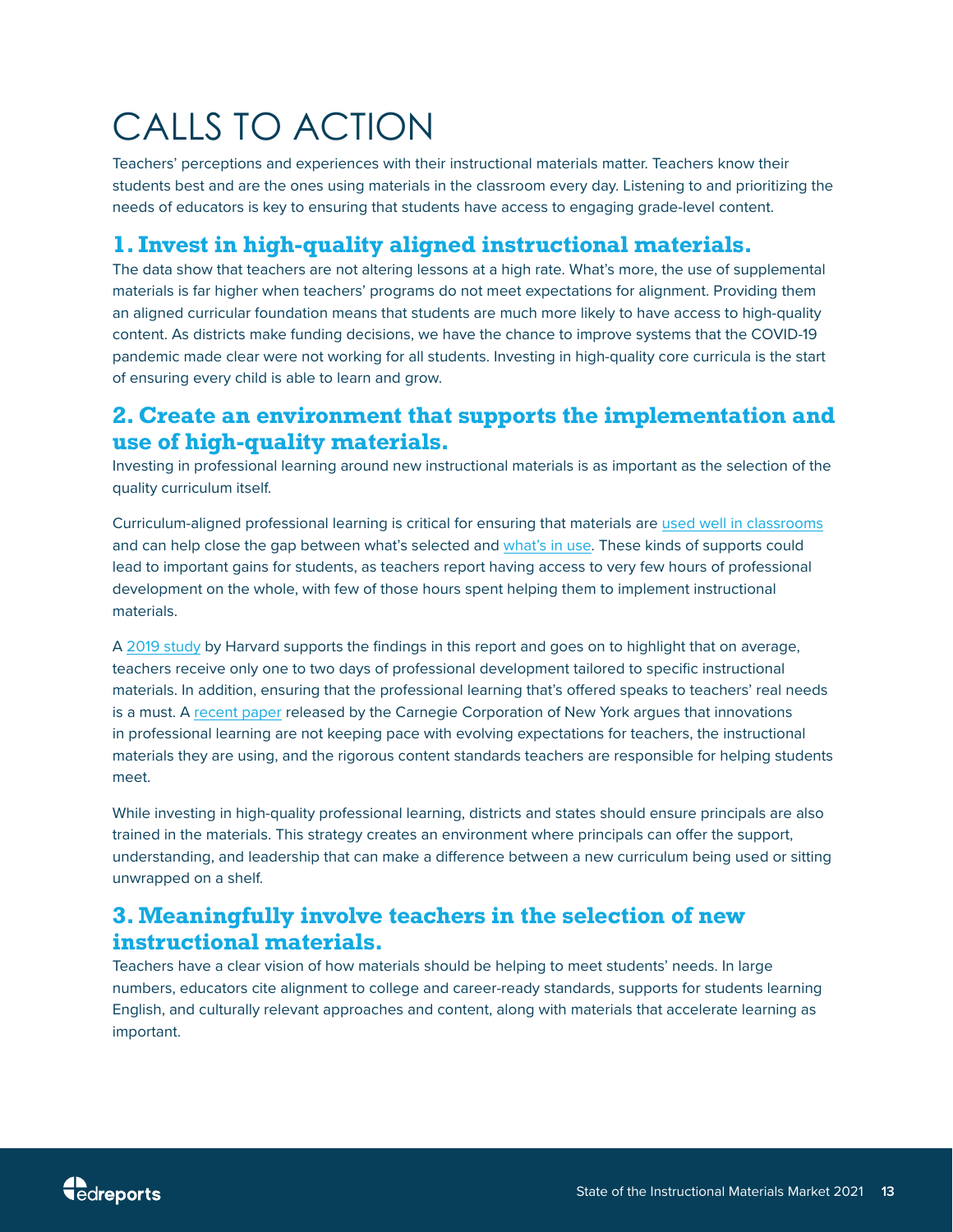# CALLS TO ACTION

Teachers' perceptions and experiences with their instructional materials matter. Teachers know their students best and are the ones using materials in the classroom every day. Listening to and prioritizing the needs of educators is key to ensuring that students have access to engaging grade-level content.

## **1. Invest in high-quality aligned instructional materials.**

The data show that teachers are not altering lessons at a high rate. What's more, the use of supplemental materials is far higher when teachers' programs do not meet expectations for alignment. Providing them an aligned curricular foundation means that students are much more likely to have access to high-quality content. As districts make funding decisions, we have the chance to improve systems that the COVID-19 pandemic made clear were not working for all students. Investing in high-quality core curricula is the start of ensuring every child is able to learn and grow.

### **2. Create an environment that supports the implementation and use of high-quality materials.**

Investing in professional learning around new instructional materials is as important as the selection of the quality curriculum itself.

Curriculum-aligned professional learning is critical for ensuring that materials are [used well in classrooms](https://tntp.org/publications/view/student-experiences/the-opportunity-myth) and can help close the gap between what's selected and [what's in use.](https://cdn.edreports.org/media/2021/03/EdReports-2020-State-of-the-Market-Use-of-Aligned-Materials_FINAL_2-1.pdf) These kinds of supports could lead to important gains for students, as teachers report having access to very few hours of professional development on the whole, with few of those hours spent helping them to implement instructional materials.

A [2019 study](https://cepr.harvard.edu/curriculum) by Harvard supports the findings in this report and goes on to highlight that on average, teachers receive only one to two days of professional development tailored to specific instructional materials. In addition, ensuring that the professional learning that's offered speaks to teachers' real needs is a must. A [recent paper](https://www.carnegie.org/topics/topic-articles/professional-learning-educators/elements-transforming-teaching-through-curriculum-based-professional-learning/) released by the Carnegie Corporation of New York argues that innovations in professional learning are not keeping pace with evolving expectations for teachers, the instructional materials they are using, and the rigorous content standards teachers are responsible for helping students meet.

While investing in high-quality professional learning, districts and states should ensure principals are also trained in the materials. This strategy creates an environment where principals can offer the support, understanding, and leadership that can make a difference between a new curriculum being used or sitting unwrapped on a shelf.

## **3. Meaningfully involve teachers in the selection of new instructional materials.**

Teachers have a clear vision of how materials should be helping to meet students' needs. In large numbers, educators cite alignment to college and career-ready standards, supports for students learning English, and culturally relevant approaches and content, along with materials that accelerate learning as important.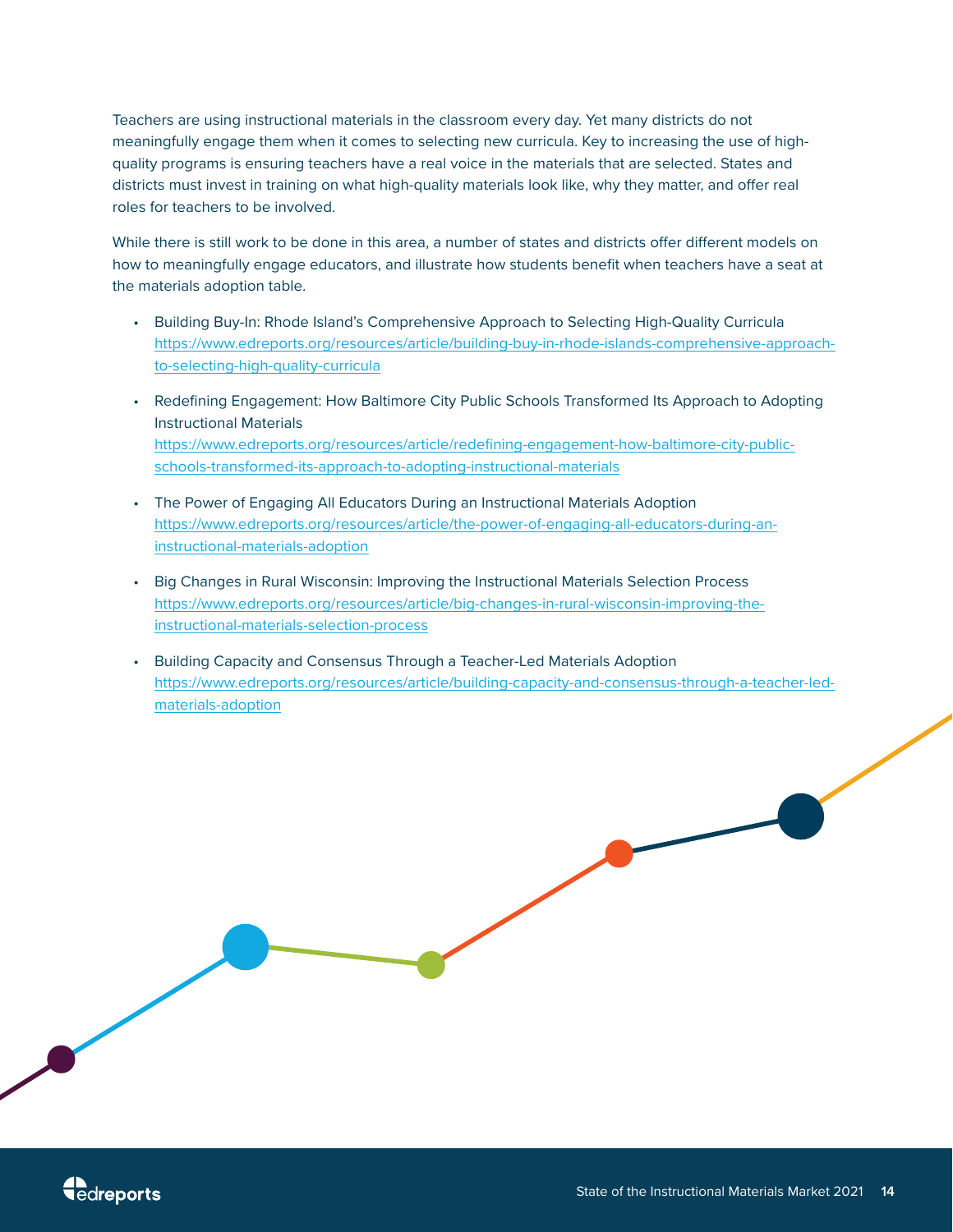Teachers are using instructional materials in the classroom every day. Yet many districts do not meaningfully engage them when it comes to selecting new curricula. Key to increasing the use of highquality programs is ensuring teachers have a real voice in the materials that are selected. States and districts must invest in training on what high-quality materials look like, why they matter, and offer real roles for teachers to be involved.

While there is still work to be done in this area, a number of states and districts offer different models on how to meaningfully engage educators, and illustrate how students benefit when teachers have a seat at the materials adoption table.

- Building Buy-In: Rhode Island's Comprehensive Approach to Selecting High-Quality Curricula [https://www.edreports.org/resources/article/building-buy-in-rhode-islands-comprehensive-approach](https://www.edreports.org/resources/article/building-buy-in-rhode-islands-comprehensive-approach-to-selecting-high-quality-curricula)[to-selecting-high-quality-curricula](https://www.edreports.org/resources/article/building-buy-in-rhode-islands-comprehensive-approach-to-selecting-high-quality-curricula)
- Redefining Engagement: How Baltimore City Public Schools Transformed Its Approach to Adopting Instructional Materials https://www.edreports.org/resources/article/redefining-engagement-how-baltimore-city-publicschools-transformed-its-approach-to-adopting-instructional-materials
- The Power of Engaging All Educators During an Instructional Materials Adoption [https://www.edreports.org/resources/article/the-power-of-engaging-all-educators-during-an](https://www.edreports.org/resources/article/the-power-of-engaging-all-educators-during-an-instructional-materials-adoption)[instructional-materials-adoption](https://www.edreports.org/resources/article/the-power-of-engaging-all-educators-during-an-instructional-materials-adoption)
- Big Changes in Rural Wisconsin: Improving the Instructional Materials Selection Process https://www.edreports.org/resources/article/big-changes-in-rural-wisconsin-improving-theinstructional-materials-selection-process
- Building Capacity and Consensus Through a Teacher-Led Materials Adoption [https://www.edreports.org/resources/article/building-capacity-and-consensus-through-a-teacher-led](https://www.edreports.org/resources/article/building-capacity-and-consensus-through-a-teacher-led-materials-adoption)[materials-adoption](https://www.edreports.org/resources/article/building-capacity-and-consensus-through-a-teacher-led-materials-adoption)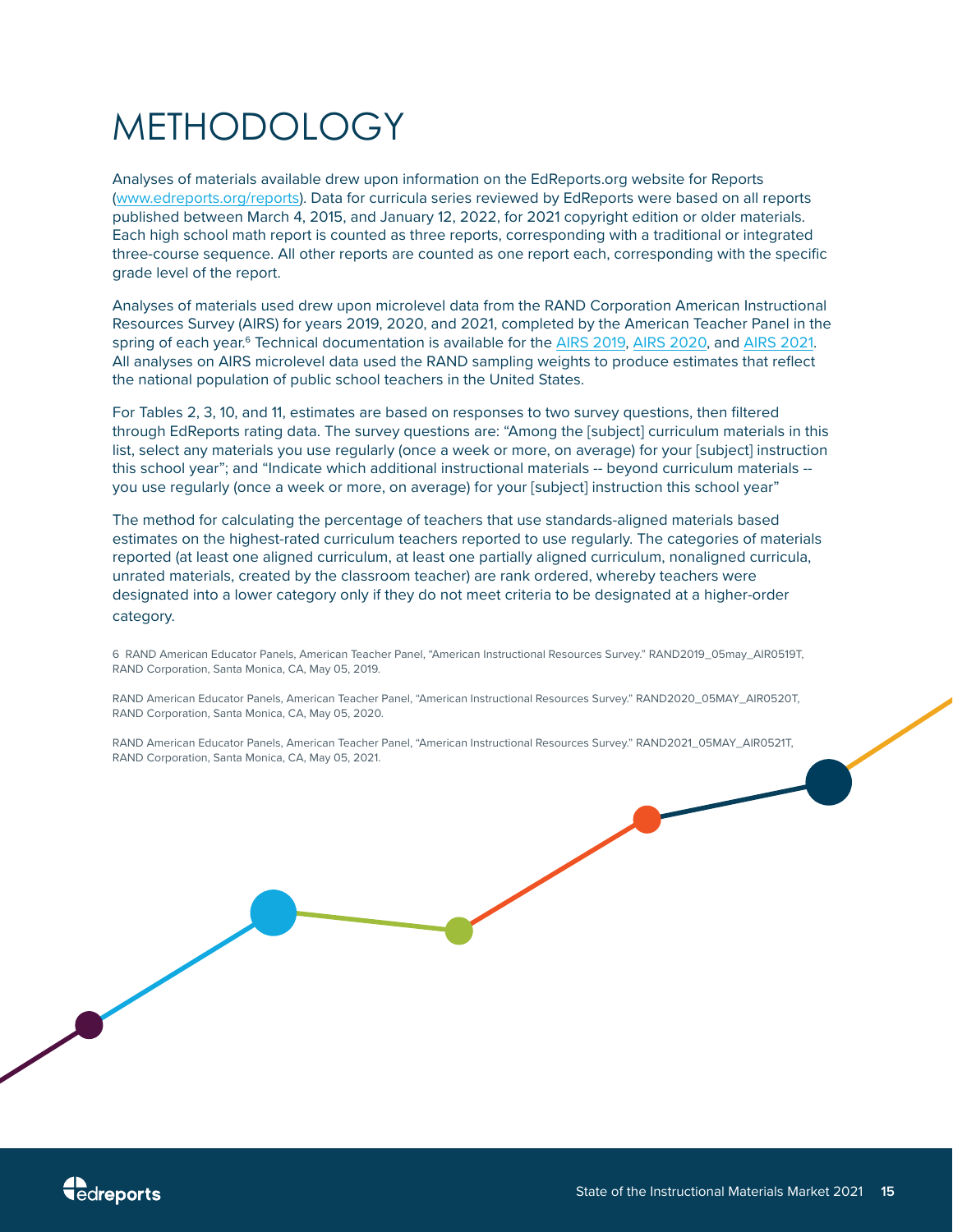## METHODOLOGY

Analyses of materials available drew upon information on the EdReports.org website for Reports ([www.edreports.org/reports](http://www.edreports.org/reports)). Data for curricula series reviewed by EdReports were based on all reports published between March 4, 2015, and January 12, 2022, for 2021 copyright edition or older materials. Each high school math report is counted as three reports, corresponding with a traditional or integrated three-course sequence. All other reports are counted as one report each, corresponding with the specific grade level of the report.

Analyses of materials used drew upon microlevel data from the RAND Corporation American Instructional Resources Survey (AIRS) for years 2019, 2020, and 2021, completed by the American Teacher Panel in the spring of each year.<sup>6</sup> Technical documentation is available for the [AIRS 2019](https://www.rand.org/pubs/research_reports/RR4402.html), [AIRS 2020](https://www.rand.org/pubs/research_reports/RRA134-4.html), and [AIRS 2021.](https://www.rand.org/pubs/research_reports/RRA134-10.html) All analyses on AIRS microlevel data used the RAND sampling weights to produce estimates that reflect the national population of public school teachers in the United States.

For Tables 2, 3, 10, and 11, estimates are based on responses to two survey questions, then filtered through EdReports rating data. The survey questions are: "Among the [subject] curriculum materials in this list, select any materials you use regularly (once a week or more, on average) for your [subject] instruction this school year"; and "Indicate which additional instructional materials -- beyond curriculum materials - you use regularly (once a week or more, on average) for your [subject] instruction this school year"

The method for calculating the percentage of teachers that use standards-aligned materials based estimates on the highest-rated curriculum teachers reported to use regularly. The categories of materials reported (at least one aligned curriculum, at least one partially aligned curriculum, nonaligned curricula, unrated materials, created by the classroom teacher) are rank ordered, whereby teachers were designated into a lower category only if they do not meet criteria to be designated at a higher-order category.

6 RAND American Educator Panels, American Teacher Panel, "American Instructional Resources Survey." RAND2019\_05may\_AIR0519T, RAND Corporation, Santa Monica, CA, May 05, 2019.

RAND American Educator Panels, American Teacher Panel, "American Instructional Resources Survey." RAND2020\_05MAY\_AIR0520T, RAND Corporation, Santa Monica, CA, May 05, 2020.

RAND American Educator Panels, American Teacher Panel, "American Instructional Resources Survey." RAND2021\_05MAY\_AIR0521T, RAND Corporation, Santa Monica, CA, May 05, 2021.